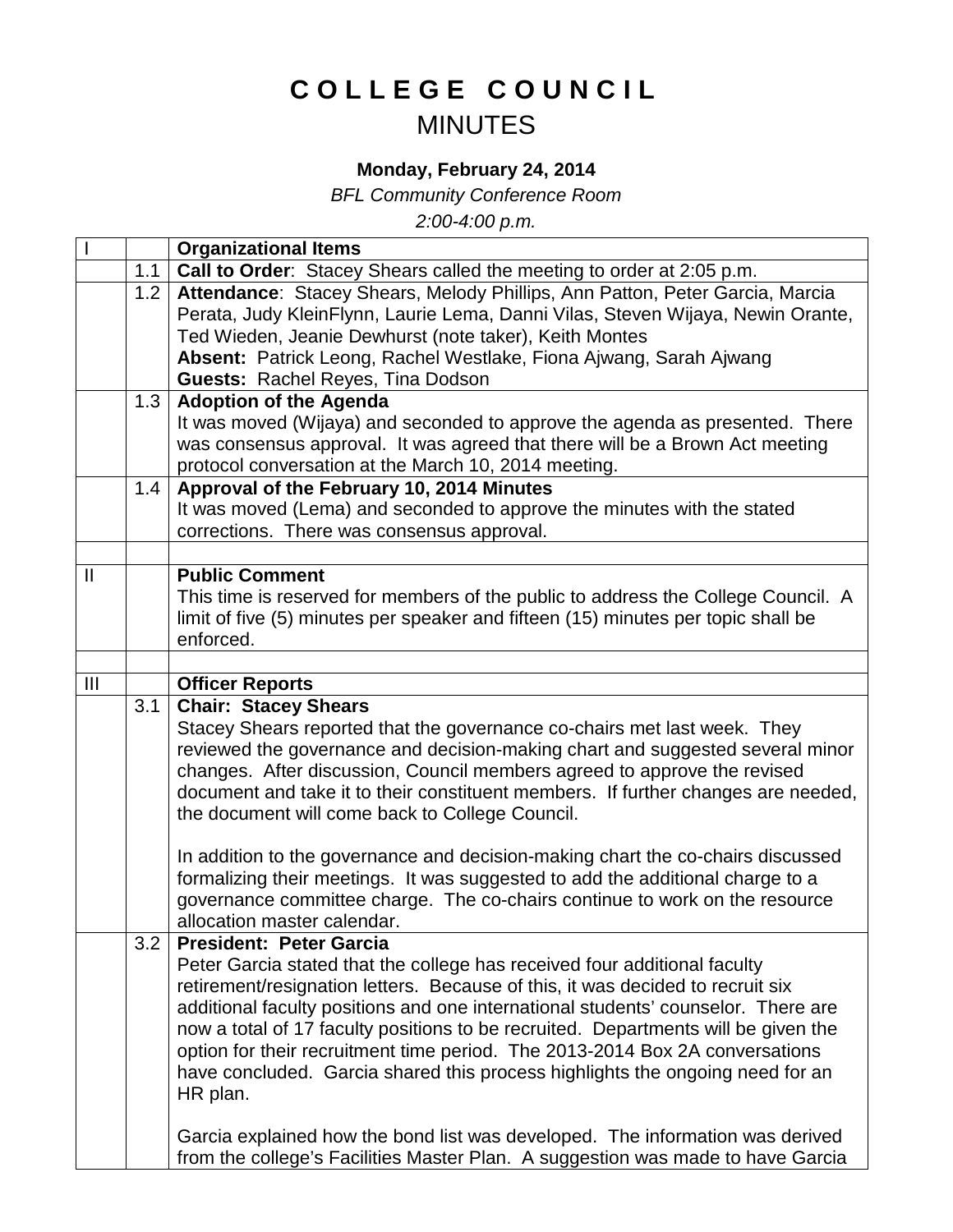## **COLLEGE COUNCIL** MINUTES

## **Monday, February 24, 2014**

*BFL Community Conference Room*

*2:00-4:00 p.m.*

|                |     | <b>Organizational Items</b>                                                                                                                                                                                                                                                     |
|----------------|-----|---------------------------------------------------------------------------------------------------------------------------------------------------------------------------------------------------------------------------------------------------------------------------------|
|                | 1.1 | Call to Order: Stacey Shears called the meeting to order at 2:05 p.m.                                                                                                                                                                                                           |
|                | 1.2 | Attendance: Stacey Shears, Melody Phillips, Ann Patton, Peter Garcia, Marcia                                                                                                                                                                                                    |
|                |     | Perata, Judy KleinFlynn, Laurie Lema, Danni Vilas, Steven Wijaya, Newin Orante,                                                                                                                                                                                                 |
|                |     | Ted Wieden, Jeanie Dewhurst (note taker), Keith Montes                                                                                                                                                                                                                          |
|                |     | Absent: Patrick Leong, Rachel Westlake, Fiona Ajwang, Sarah Ajwang                                                                                                                                                                                                              |
|                |     | <b>Guests: Rachel Reyes, Tina Dodson</b>                                                                                                                                                                                                                                        |
|                | 1.3 | <b>Adoption of the Agenda</b>                                                                                                                                                                                                                                                   |
|                |     | It was moved (Wijaya) and seconded to approve the agenda as presented. There                                                                                                                                                                                                    |
|                |     | was consensus approval. It was agreed that there will be a Brown Act meeting                                                                                                                                                                                                    |
|                |     | protocol conversation at the March 10, 2014 meeting.                                                                                                                                                                                                                            |
|                | 1.4 | Approval of the February 10, 2014 Minutes                                                                                                                                                                                                                                       |
|                |     | It was moved (Lema) and seconded to approve the minutes with the stated                                                                                                                                                                                                         |
|                |     | corrections. There was consensus approval.                                                                                                                                                                                                                                      |
| $\mathbf{H}$   |     | <b>Public Comment</b>                                                                                                                                                                                                                                                           |
|                |     | This time is reserved for members of the public to address the College Council. A                                                                                                                                                                                               |
|                |     | limit of five (5) minutes per speaker and fifteen (15) minutes per topic shall be                                                                                                                                                                                               |
|                |     | enforced.                                                                                                                                                                                                                                                                       |
|                |     |                                                                                                                                                                                                                                                                                 |
| $\mathbf{III}$ |     | <b>Officer Reports</b>                                                                                                                                                                                                                                                          |
|                | 3.1 | <b>Chair: Stacey Shears</b>                                                                                                                                                                                                                                                     |
|                |     | Stacey Shears reported that the governance co-chairs met last week. They                                                                                                                                                                                                        |
|                |     | reviewed the governance and decision-making chart and suggested several minor                                                                                                                                                                                                   |
|                |     | changes. After discussion, Council members agreed to approve the revised                                                                                                                                                                                                        |
|                |     | document and take it to their constituent members. If further changes are needed,                                                                                                                                                                                               |
|                |     | the document will come back to College Council.                                                                                                                                                                                                                                 |
|                |     |                                                                                                                                                                                                                                                                                 |
|                |     |                                                                                                                                                                                                                                                                                 |
|                |     |                                                                                                                                                                                                                                                                                 |
|                |     |                                                                                                                                                                                                                                                                                 |
|                |     |                                                                                                                                                                                                                                                                                 |
|                |     |                                                                                                                                                                                                                                                                                 |
|                | 3.2 | <b>President: Peter Garcia</b>                                                                                                                                                                                                                                                  |
|                |     | Peter Garcia stated that the college has received four additional faculty                                                                                                                                                                                                       |
|                |     | retirement/resignation letters. Because of this, it was decided to recruit six                                                                                                                                                                                                  |
|                |     | additional faculty positions and one international students' counselor. There are                                                                                                                                                                                               |
|                |     | now a total of 17 faculty positions to be recruited. Departments will be given the                                                                                                                                                                                              |
|                |     | option for their recruitment time period. The 2013-2014 Box 2A conversations                                                                                                                                                                                                    |
|                |     | have concluded. Garcia shared this process highlights the ongoing need for an                                                                                                                                                                                                   |
|                |     | HR plan.                                                                                                                                                                                                                                                                        |
|                |     | Garcia explained how the bond list was developed. The information was derived                                                                                                                                                                                                   |
|                |     | In addition to the governance and decision-making chart the co-chairs discussed<br>formalizing their meetings. It was suggested to add the additional charge to a<br>governance committee charge. The co-chairs continue to work on the resource<br>allocation master calendar. |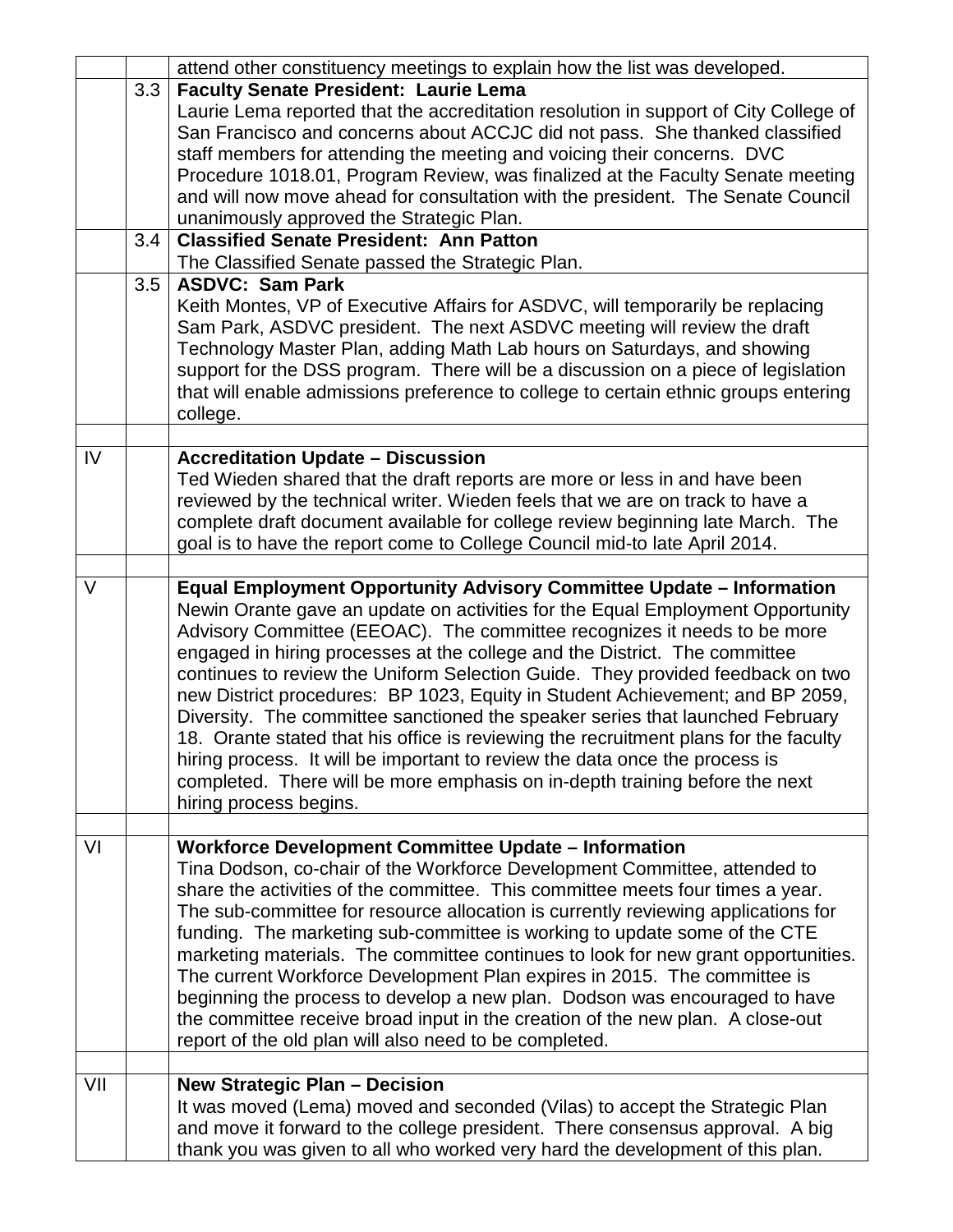|        |                         | attend other constituency meetings to explain how the list was developed.                                                                                                                                                                                                                                                                                                                                                                                                                                                                                                                                                                                                                                                                                                                                                                            |
|--------|-------------------------|------------------------------------------------------------------------------------------------------------------------------------------------------------------------------------------------------------------------------------------------------------------------------------------------------------------------------------------------------------------------------------------------------------------------------------------------------------------------------------------------------------------------------------------------------------------------------------------------------------------------------------------------------------------------------------------------------------------------------------------------------------------------------------------------------------------------------------------------------|
|        | 3.3 <sup>°</sup><br>3.4 | <b>Faculty Senate President: Laurie Lema</b><br>Laurie Lema reported that the accreditation resolution in support of City College of<br>San Francisco and concerns about ACCJC did not pass. She thanked classified<br>staff members for attending the meeting and voicing their concerns. DVC<br>Procedure 1018.01, Program Review, was finalized at the Faculty Senate meeting<br>and will now move ahead for consultation with the president. The Senate Council<br>unanimously approved the Strategic Plan.<br><b>Classified Senate President: Ann Patton</b><br>The Classified Senate passed the Strategic Plan.                                                                                                                                                                                                                                |
|        | 3.5                     | <b>ASDVC: Sam Park</b><br>Keith Montes, VP of Executive Affairs for ASDVC, will temporarily be replacing<br>Sam Park, ASDVC president. The next ASDVC meeting will review the draft<br>Technology Master Plan, adding Math Lab hours on Saturdays, and showing<br>support for the DSS program. There will be a discussion on a piece of legislation<br>that will enable admissions preference to college to certain ethnic groups entering<br>college.                                                                                                                                                                                                                                                                                                                                                                                               |
| IV     |                         | <b>Accreditation Update - Discussion</b><br>Ted Wieden shared that the draft reports are more or less in and have been<br>reviewed by the technical writer. Wieden feels that we are on track to have a<br>complete draft document available for college review beginning late March. The<br>goal is to have the report come to College Council mid-to late April 2014.                                                                                                                                                                                                                                                                                                                                                                                                                                                                              |
| $\vee$ |                         | Equal Employment Opportunity Advisory Committee Update - Information<br>Newin Orante gave an update on activities for the Equal Employment Opportunity<br>Advisory Committee (EEOAC). The committee recognizes it needs to be more<br>engaged in hiring processes at the college and the District. The committee<br>continues to review the Uniform Selection Guide. They provided feedback on two<br>new District procedures: BP 1023, Equity in Student Achievement; and BP 2059,<br>Diversity. The committee sanctioned the speaker series that launched February<br>18. Orante stated that his office is reviewing the recruitment plans for the faculty<br>hiring process. It will be important to review the data once the process is<br>completed. There will be more emphasis on in-depth training before the next<br>hiring process begins. |
| VI     |                         | <b>Workforce Development Committee Update - Information</b><br>Tina Dodson, co-chair of the Workforce Development Committee, attended to<br>share the activities of the committee. This committee meets four times a year.<br>The sub-committee for resource allocation is currently reviewing applications for<br>funding. The marketing sub-committee is working to update some of the CTE<br>marketing materials. The committee continues to look for new grant opportunities.<br>The current Workforce Development Plan expires in 2015. The committee is<br>beginning the process to develop a new plan. Dodson was encouraged to have<br>the committee receive broad input in the creation of the new plan. A close-out<br>report of the old plan will also need to be completed.                                                              |
| VII    |                         | <b>New Strategic Plan - Decision</b><br>It was moved (Lema) moved and seconded (Vilas) to accept the Strategic Plan<br>and move it forward to the college president. There consensus approval. A big<br>thank you was given to all who worked very hard the development of this plan.                                                                                                                                                                                                                                                                                                                                                                                                                                                                                                                                                                |